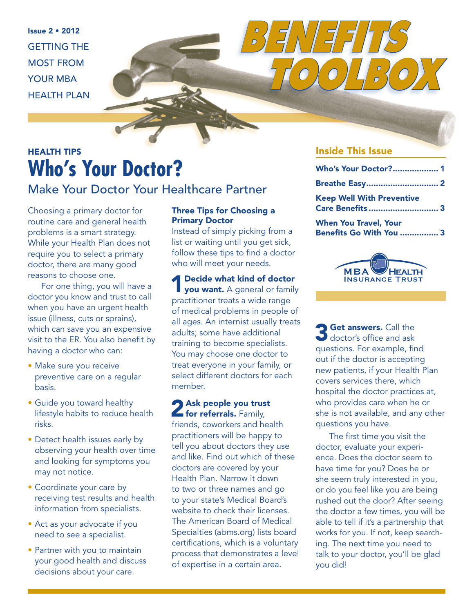Issue 2 • 2012 GETTING THE MOST FROM YOUR MBA HEALTH PLAN

### HEALTH TIPS **Who's Your Doctor?** Make Your Doctor Your Healthcare Partner

Choosing a primary doctor for routine care and general health problems is a smart strategy. While your Health Plan does not require you to select a primary doctor, there are many good reasons to choose one.

For one thing, you will have a doctor you know and trust to call when you have an urgent health issue (illness, cuts or sprains), which can save you an expensive visit to the ER. You also benefit by having a doctor who can:

- Make sure you receive preventive care on a regular basis.
- Guide you toward healthy lifestyle habits to reduce health risks.
- Detect health issues early by observing your health over time and looking for symptoms you may not notice.
- Coordinate your care by receiving test results and health information from specialists.
- Act as your advocate if you need to see a specialist.
- Partner with you to maintain your good health and discuss decisions about your care.

#### Three Tips for Choosing a Primary Doctor

Instead of simply picking from a list or waiting until you get sick, follow these tips to find a doctor who will meet your needs.

**4** Decide what kind of doctor you want. A general or family practitioner treats a wide range of medical problems in people of all ages. An internist usually treats adults; some have additional training to become specialists. You may choose one doctor to treat everyone in your family, or select different doctors for each member.

# 2 Ask people you trust<br>for referrals. Family,

friends, coworkers and health practitioners will be happy to tell you about doctors they use and like. Find out which of these doctors are covered by your Health Plan. Narrow it down to two or three names and go to your state's Medical Board's website to check their licenses. The American Board of Medical Specialties (abms.org) lists board certifications, which is a voluntary process that demonstrates a level of expertise in a certain area.

#### Inside This Issue

*BENEFITS*

| Who's Your Doctor? 1                                           |  |
|----------------------------------------------------------------|--|
| <b>Breathe Easy 2</b>                                          |  |
| <b>Keep Well With Preventive</b><br>Care Benefits  3           |  |
| <b>When You Travel, Your</b><br><b>Benefits Go With You  3</b> |  |

*TOOLBOX*



**3 Get answers.** Call the doctor's office and ask questions. For example, find out if the doctor is accepting new patients, if your Health Plan covers services there, which hospital the doctor practices at, who provides care when he or she is not available, and any other questions you have.

The first time you visit the doctor, evaluate your experience. Does the doctor seem to have time for you? Does he or she seem truly interested in you, or do you feel like you are being rushed out the door? After seeing the doctor a few times, you will be able to tell if it's a partnership that works for you. If not, keep searching. The next time you need to talk to your doctor, you'll be glad you did!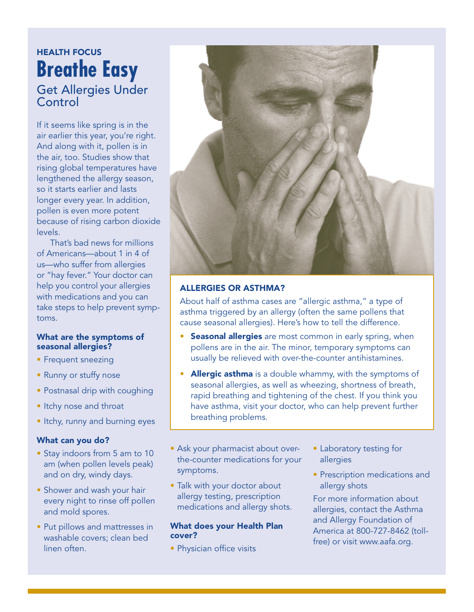### HEALTH FOCUS **Breathe Easy** Get Allergies Under Control

If it seems like spring is in the air earlier this year, you're right. And along with it, pollen is in the air, too. Studies show that rising global temperatures have lengthened the allergy season, so it starts earlier and lasts longer every year. In addition, pollen is even more potent because of rising carbon dioxide levels.

That's bad news for millions of Americans—about 1 in 4 of us—who suffer from allergies or "hay fever." Your doctor can help you control your allergies with medications and you can take steps to help prevent symptoms.

#### What are the symptoms of seasonal allergies?

- Frequent sneezing
- Runny or stuffy nose
- Postnasal drip with coughing
- Itchy nose and throat
- Itchy, runny and burning eyes

#### What can you do?

- Stay indoors from 5 am to 10 am (when pollen levels peak) and on dry, windy days.
- Shower and wash your hair every night to rinse off pollen and mold spores.
- Put pillows and mattresses in washable covers; clean bed linen often.



#### ALLERGIES OR ASTHMA?

About half of asthma cases are "allergic asthma," a type of asthma triggered by an allergy (often the same pollens that cause seasonal allergies). Here's how to tell the difference.

- Seasonal allergies are most common in early spring, when pollens are in the air. The minor, temporary symptoms can usually be relieved with over-the-counter antihistamines.
- Allergic asthma is a double whammy, with the symptoms of seasonal allergies, as well as wheezing, shortness of breath, rapid breathing and tightening of the chest. If you think you have asthma, visit your doctor, who can help prevent further breathing problems.
- Ask your pharmacist about overthe-counter medications for your symptoms.
- Talk with your doctor about allergy testing, prescription medications and allergy shots.

#### What does your Health Plan cover?

• Physician office visits

- Laboratory testing for allergies
- Prescription medications and allergy shots

For more information about allergies, contact the Asthma and Allergy Foundation of America at 800-727-8462 (tollfree) or visit www.aafa.org.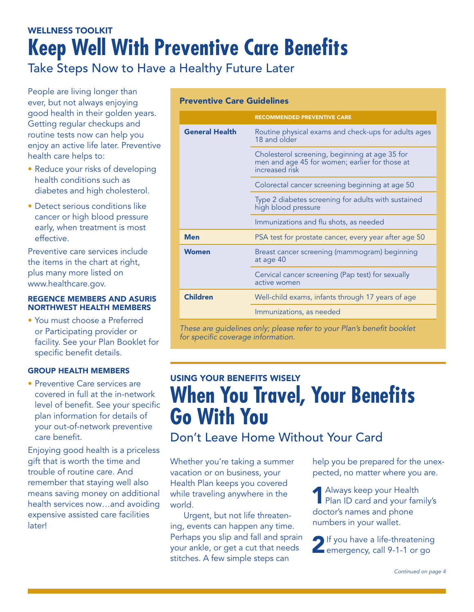## WELLNESS TOOLKIT **Keep Well With Preventive Care Benefits**

Take Steps Now to Have a Healthy Future Later

People are living longer than ever, but not always enjoying good health in their golden years. Getting regular checkups and routine tests now can help you enjoy an active life later. Preventive health care helps to:

- Reduce your risks of developing health conditions such as diabetes and high cholesterol.
- Detect serious conditions like cancer or high blood pressure early, when treatment is most effective.

Preventive care services include the items in the chart at right, plus many more listed on [www.healthcare.gov](http://www.healthcare.gov).

#### REGENCE MEMBERS AND ASURIS NORTHWEST HEALTH MEMBERS

• You must choose a Preferred or Participating provider or facility. See your Plan Booklet for specific benefit details.

#### GROUP HEALTH MEMBERS

• Preventive Care services are covered in full at the in-network level of benefit. See your specific plan information for details of your out-of-network preventive care benefit.

Enjoying good health is a priceless gift that is worth the time and trouble of routine care. And remember that staying well also means saving money on additional health services now…and avoiding expensive assisted care facilities later!

#### Preventive Care Guidelines

|                                                                        | <b>RECOMMENDED PREVENTIVE CARE</b>                                                                                 |
|------------------------------------------------------------------------|--------------------------------------------------------------------------------------------------------------------|
| <b>General Health</b>                                                  | Routine physical exams and check-ups for adults ages<br>18 and older                                               |
|                                                                        | Cholesterol screening, beginning at age 35 for<br>men and age 45 for women; earlier for those at<br>increased risk |
|                                                                        | Colorectal cancer screening beginning at age 50                                                                    |
|                                                                        | Type 2 diabetes screening for adults with sustained<br>high blood pressure                                         |
|                                                                        | Immunizations and flu shots, as needed                                                                             |
| <b>Men</b>                                                             | PSA test for prostate cancer, every year after age 50                                                              |
| <b>Women</b>                                                           | Breast cancer screening (mammogram) beginning<br>at age 40                                                         |
|                                                                        | Cervical cancer screening (Pap test) for sexually<br>active women                                                  |
| <b>Children</b>                                                        | Well-child exams, infants through 17 years of age                                                                  |
|                                                                        | Immunizations, as needed                                                                                           |
| These are guidelines only; please refer to your Plan's benefit booklet |                                                                                                                    |

*for specific coverage information.*

# USING YOUR BENEFITS WISELY **When You Travel, Your Benefits Go With You**

Don't Leave Home Without Your Card

Whether you're taking a summer vacation or on business, your Health Plan keeps you covered while traveling anywhere in the world.

Urgent, but not life threatening, events can happen any time. Perhaps you slip and fall and sprain your ankle, or get a cut that needs stitches. A few simple steps can

help you be prepared for the unexpected, no matter where you are.

1Always keep your Health Plan ID card and your family's doctor's names and phone numbers in your wallet.

2If you have a life-threatening emergency, call 9-1-1 or go